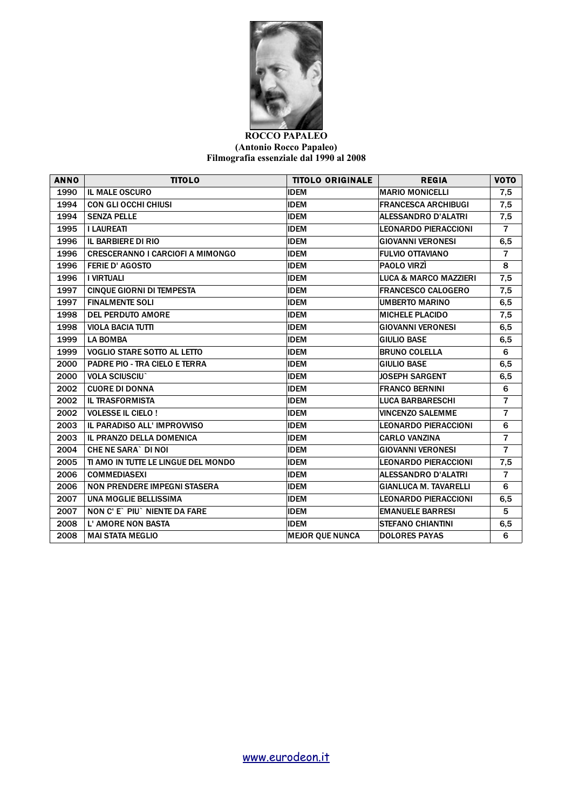

## **ROCCO PAPALEO (Antonio Rocco Papaleo) Filmografia essenziale dal 1990 al 2008**

| <b>ANNO</b> | <b>TITOLO</b>                           | <b>TITOLO ORIGINALE</b> | <b>REGIA</b>                 | <b>VOTO</b>    |
|-------------|-----------------------------------------|-------------------------|------------------------------|----------------|
| 1990        | <b>IL MALE OSCURO</b>                   | <b>IDEM</b>             | <b>MARIO MONICELLI</b>       | 7,5            |
| 1994        | <b>CON GLI OCCHI CHIUSI</b>             | <b>IDEM</b>             | <b>FRANCESCA ARCHIBUGI</b>   | 7,5            |
| 1994        | <b>SENZA PELLE</b>                      | <b>IDEM</b>             | ALESSANDRO D'ALATRI          | 7,5            |
| 1995        | <b>I LAUREATI</b>                       | <b>IDEM</b>             | LEONARDO PIERACCIONI         | $\overline{7}$ |
| 1996        | <b>IL BARBIERE DI RIO</b>               | <b>IDEM</b>             | <b>GIOVANNI VERONESI</b>     | 6, 5           |
| 1996        | <b>CRESCERANNO I CARCIOFI A MIMONGO</b> | <b>IDEM</b>             | <b>FULVIO OTTAVIANO</b>      | $\overline{7}$ |
| 1996        | <b>FERIE D' AGOSTO</b>                  | <b>IDEM</b>             | PAOLO VIRZÌ                  | 8              |
| 1996        | <b>I VIRTUALI</b>                       | <b>IDEM</b>             | LUCA & MARCO MAZZIERI        | 7,5            |
| 1997        | <b>CINQUE GIORNI DI TEMPESTA</b>        | <b>IDEM</b>             | <b>FRANCESCO CALOGERO</b>    | 7,5            |
| 1997        | <b>FINALMENTE SOLI</b>                  | <b>IDEM</b>             | UMBERTO MARINO               | 6, 5           |
| 1998        | <b>DEL PERDUTO AMORE</b>                | <b>IDEM</b>             | <b>MICHELE PLACIDO</b>       | 7,5            |
| 1998        | <b>VIOLA BACIA TUTTI</b>                | <b>IDEM</b>             | <b>GIOVANNI VERONESI</b>     | 6, 5           |
| 1999        | <b>LA BOMBA</b>                         | <b>IDEM</b>             | <b>GIULIO BASE</b>           | 6, 5           |
| 1999        | <b>VOGLIO STARE SOTTO AL LETTO</b>      | <b>IDEM</b>             | <b>BRUNO COLELLA</b>         | 6              |
| 2000        | <b>PADRE PIO - TRA CIELO E TERRA</b>    | <b>IDEM</b>             | <b>GIULIO BASE</b>           | 6, 5           |
| 2000        | <b>VOLA SCIUSCIU</b>                    | <b>IDEM</b>             | <b>JOSEPH SARGENT</b>        | 6, 5           |
| 2002        | <b>CUORE DI DONNA</b>                   | <b>IDEM</b>             | <b>FRANCO BERNINI</b>        | 6              |
| 2002        | <b>IL TRASFORMISTA</b>                  | <b>IDEM</b>             | <b>LUCA BARBARESCHI</b>      | $\overline{7}$ |
| 2002        | <b>VOLESSE IL CIELO!</b>                | <b>IDEM</b>             | <b>VINCENZO SALEMME</b>      | $\overline{7}$ |
| 2003        | IL PARADISO ALL' IMPROVVISO             | <b>IDEM</b>             | LEONARDO PIERACCIONI         | 6              |
| 2003        | IL PRANZO DELLA DOMENICA                | <b>IDEM</b>             | <b>CARLO VANZINA</b>         | $\overline{7}$ |
| 2004        | <b>CHE NE SARA` DI NOI</b>              | <b>IDEM</b>             | <b>GIOVANNI VERONESI</b>     | $\overline{7}$ |
| 2005        | TI AMO IN TUTTE LE LINGUE DEL MONDO     | <b>IDEM</b>             | <b>LEONARDO PIERACCIONI</b>  | 7,5            |
| 2006        | <b>COMMEDIASEXI</b>                     | <b>IDEM</b>             | <b>ALESSANDRO D'ALATRI</b>   | $\overline{7}$ |
| 2006        | <b>NON PRENDERE IMPEGNI STASERA</b>     | <b>IDEM</b>             | <b>GIANLUCA M. TAVARELLI</b> | 6              |
| 2007        | UNA MOGLIE BELLISSIMA                   | <b>IDEM</b>             | LEONARDO PIERACCIONI         | 6, 5           |
| 2007        | NON C' E` PIU` NIENTE DA FARE           | <b>IDEM</b>             | <b>EMANUELE BARRESI</b>      | 5              |
| 2008        | <b>L' AMORE NON BASTA</b>               | <b>IDEM</b>             | <b>STEFANO CHIANTINI</b>     | 6,5            |
| 2008        | <b>MAI STATA MEGLIO</b>                 | <b>MEJOR QUE NUNCA</b>  | <b>DOLORES PAYAS</b>         | 6              |